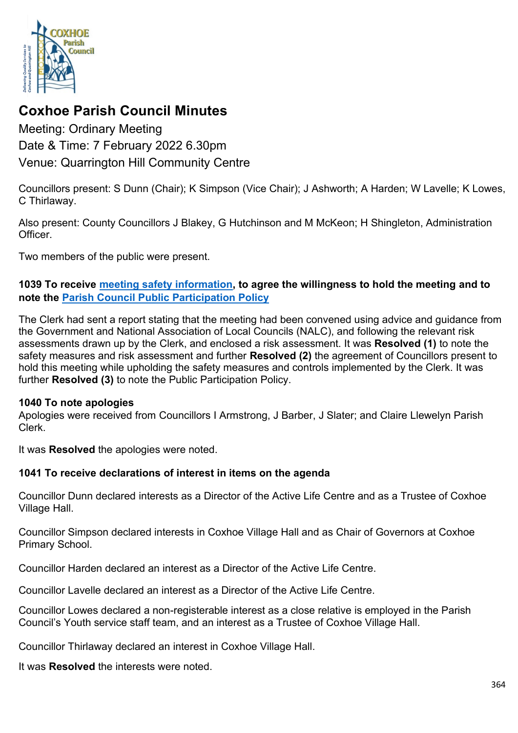

# **Coxhoe Parish Council Minutes**

Meeting: Ordinary Meeting Date & Time: 7 February 2022 6.30pm Venue: Quarrington Hill Community Centre

Councillors present: S Dunn (Chair); K Simpson (Vice Chair); J Ashworth; A Harden; W Lavelle; K Lowes, C Thirlaway.

Also present: County Councillors J Blakey, G Hutchinson and M McKeon; H Shingleton, Administration **Officer** 

Two members of the public were present.

## **1039 To receive [meeting safety information,](https://1drv.ms/b/s!Alg_TKmu7xwUgdd1BIsKvp0wiOu-Zg?e=buX94d) to agree the willingness to hold the meeting and to note the [Parish Council Public Participation Policy](http://coxhoeparishcouncil.gov.uk/important-documents-and-policies/public-participation-policy-fmarch-2020-review-date-march-2022/)**

The Clerk had sent a report stating that the meeting had been convened using advice and guidance from the Government and National Association of Local Councils (NALC), and following the relevant risk assessments drawn up by the Clerk, and enclosed a risk assessment. It was **Resolved (1)** to note the safety measures and risk assessment and further **Resolved (2)** the agreement of Councillors present to hold this meeting while upholding the safety measures and controls implemented by the Clerk. It was further **Resolved (3)** to note the Public Participation Policy.

#### **1040 To note apologies**

Apologies were received from Councillors I Armstrong, J Barber, J Slater; and Claire Llewelyn Parish Clerk.

It was **Resolved** the apologies were noted.

## **1041 To receive declarations of interest in items on the agenda**

Councillor Dunn declared interests as a Director of the Active Life Centre and as a Trustee of Coxhoe Village Hall.

Councillor Simpson declared interests in Coxhoe Village Hall and as Chair of Governors at Coxhoe Primary School.

Councillor Harden declared an interest as a Director of the Active Life Centre.

Councillor Lavelle declared an interest as a Director of the Active Life Centre.

Councillor Lowes declared a non-registerable interest as a close relative is employed in the Parish Council's Youth service staff team, and an interest as a Trustee of Coxhoe Village Hall.

Councillor Thirlaway declared an interest in Coxhoe Village Hall.

It was **Resolved** the interests were noted.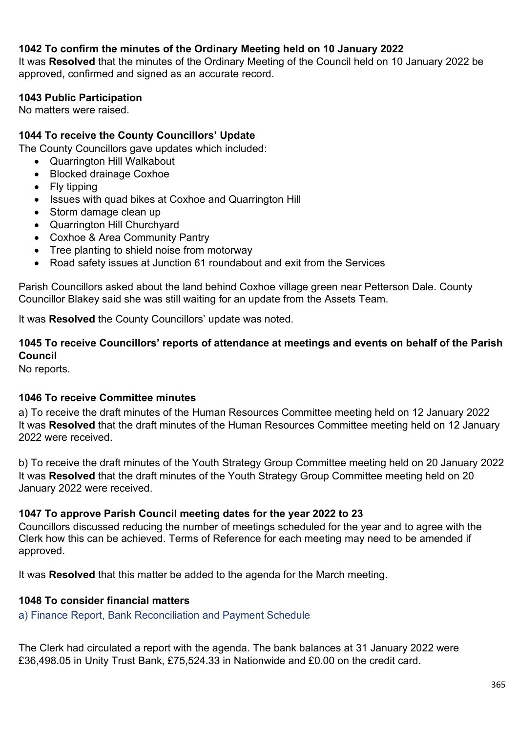## **1042 To confirm the minutes of the Ordinary Meeting held on 10 January 2022**

It was **Resolved** that the minutes of the Ordinary Meeting of the Council held on 10 January 2022 be approved, confirmed and signed as an accurate record.

## **1043 Public Participation**

No matters were raised.

## **1044 To receive the County Councillors' Update**

The County Councillors gave updates which included:

- Quarrington Hill Walkabout
- Blocked drainage Coxhoe
- Fly tipping
- Issues with quad bikes at Coxhoe and Quarrington Hill
- Storm damage clean up
- Quarrington Hill Churchyard
- Coxhoe & Area Community Pantry
- Tree planting to shield noise from motorway
- Road safety issues at Junction 61 roundabout and exit from the Services

Parish Councillors asked about the land behind Coxhoe village green near Petterson Dale. County Councillor Blakey said she was still waiting for an update from the Assets Team.

It was **Resolved** the County Councillors' update was noted.

## **1045 To receive Councillors' reports of attendance at meetings and events on behalf of the Parish Council**

No reports.

## **1046 To receive Committee minutes**

a) To receive the draft minutes of the Human Resources Committee meeting held on 12 January 2022 It was **Resolved** that the draft minutes of the Human Resources Committee meeting held on 12 January 2022 were received.

b) To receive the draft minutes of the Youth Strategy Group Committee meeting held on 20 January 2022 It was **Resolved** that the draft minutes of the Youth Strategy Group Committee meeting held on 20 January 2022 were received.

#### **1047 To approve Parish Council meeting dates for the year 2022 to 23**

Councillors discussed reducing the number of meetings scheduled for the year and to agree with the Clerk how this can be achieved. Terms of Reference for each meeting may need to be amended if approved.

It was **Resolved** that this matter be added to the agenda for the March meeting.

## **1048 To consider financial matters**

a) Finance Report, Bank Reconciliation and Payment Schedule

The Clerk had circulated a report with the agenda. The bank balances at 31 January 2022 were £36,498.05 in Unity Trust Bank, £75,524.33 in Nationwide and £0.00 on the credit card.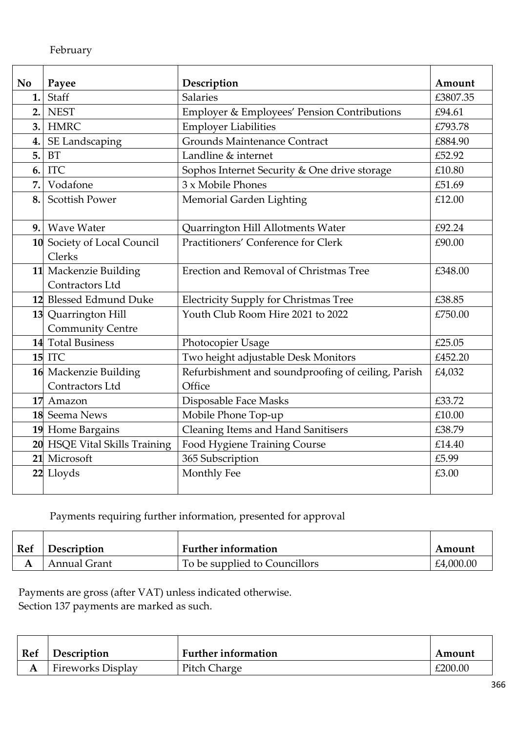| No  | Payee                         | Description                                        | Amount   |
|-----|-------------------------------|----------------------------------------------------|----------|
| 1.  | Staff                         | <b>Salaries</b>                                    | £3807.35 |
| 2.  | <b>NEST</b>                   | Employer & Employees' Pension Contributions        | £94.61   |
| 3.1 | <b>HMRC</b>                   | <b>Employer Liabilities</b>                        | £793.78  |
| 4.  | SE Landscaping                | <b>Grounds Maintenance Contract</b>                | £884.90  |
| 5.  | <b>BT</b>                     | Landline & internet                                | £52.92   |
| 6.  | <b>ITC</b>                    | Sophos Internet Security & One drive storage       | £10.80   |
| 7.  | Vodafone                      | 3 x Mobile Phones                                  | £51.69   |
| 8.  | <b>Scottish Power</b>         | Memorial Garden Lighting                           | £12.00   |
|     |                               |                                                    |          |
| 9.1 | <b>Wave Water</b>             | Quarrington Hill Allotments Water                  | £92.24   |
|     | 10 Society of Local Council   | Practitioners' Conference for Clerk                | £90.00   |
|     | Clerks                        |                                                    |          |
|     | 11 Mackenzie Building         | Erection and Removal of Christmas Tree             | £348.00  |
|     | Contractors Ltd               |                                                    |          |
|     | 12 Blessed Edmund Duke        | <b>Electricity Supply for Christmas Tree</b>       | £38.85   |
|     | 13 Quarrington Hill           | Youth Club Room Hire 2021 to 2022                  | £750.00  |
|     | <b>Community Centre</b>       |                                                    |          |
|     | 14 Total Business             | Photocopier Usage                                  | £25.05   |
|     | <b>15 ITC</b>                 | Two height adjustable Desk Monitors                | £452.20  |
|     | 16 Mackenzie Building         | Refurbishment and soundproofing of ceiling, Parish | £4,032   |
|     | Contractors Ltd               | Office                                             |          |
|     | 17 Amazon                     | Disposable Face Masks                              | £33.72   |
|     | 18 Seema News                 | Mobile Phone Top-up                                | £10.00   |
|     | 19 Home Bargains              | <b>Cleaning Items and Hand Sanitisers</b>          | £38.79   |
|     | 20 HSQE Vital Skills Training | Food Hygiene Training Course                       | £14.40   |
| 21  | Microsoft                     | 365 Subscription                                   | £5.99    |
|     | 22 Lloyds                     | Monthly Fee                                        | £3.00    |
|     |                               |                                                    |          |

## Payments requiring further information, presented for approval

| Ref | Description  | <b>Further information</b>    | Amount    |
|-----|--------------|-------------------------------|-----------|
|     | Annual Grant | To be supplied to Councillors | £4,000.00 |

Payments are gross (after VAT) unless indicated otherwise. Section 137 payments are marked as such.

| Ref | Description              | <b>Further information</b> | Amount  |
|-----|--------------------------|----------------------------|---------|
|     | <b>Fireworks Display</b> | Pitch Charge               | £200.00 |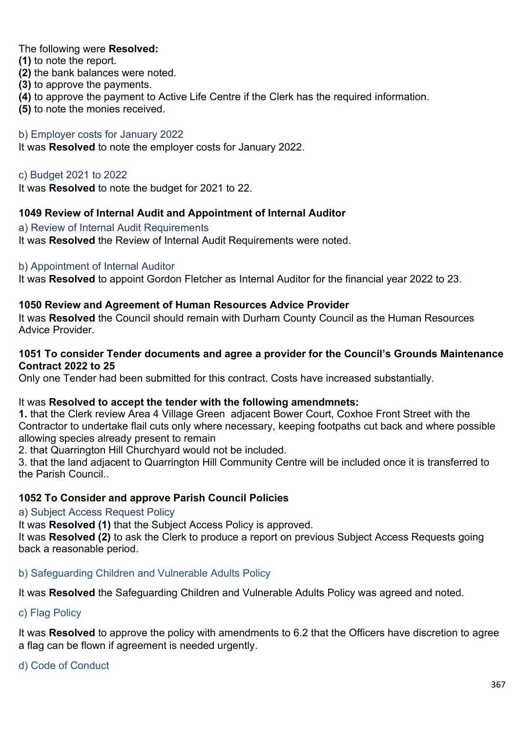The following were **Resolved:**

**(1)** to note the report.

- **(2)** the bank balances were noted.
- **(3)** to approve the payments.
- **(4)** to approve the payment to Active Life Centre if the Clerk has the required information.
- **(5)** to note the monies received.

## b) Employer costs for January 2022

It was **Resolved** to note the employer costs for January 2022.

## c) Budget 2021 to 2022

It was **Resolved** to note the budget for 2021 to 22.

## **1049 Review of Internal Audit and Appointment of Internal Auditor**

a) Review of Internal Audit Requirements It was **Resolved** the Review of Internal Audit Requirements were noted.

#### b) Appointment of Internal Auditor

It was **Resolved** to appoint Gordon Fletcher as Internal Auditor for the financial year 2022 to 23.

## **1050 Review and Agreement of Human Resources Advice Provider**

It was **Resolved** the Council should remain with Durham County Council as the Human Resources Advice Provider.

#### **1051 To consider Tender documents and agree a provider for the Council's Grounds Maintenance Contract 2022 to 25**

Only one Tender had been submitted for this contract. Costs have increased substantially.

#### It was **Resolved to accept the tender with the following amendmnets:**

**1.** that the Clerk review Area 4 Village Green adjacent Bower Court, Coxhoe Front Street with the Contractor to undertake flail cuts only where necessary, keeping footpaths cut back and where possible allowing species already present to remain

2. that Quarrington Hill Churchyard would not be included.

3. that the land adjacent to Quarrington Hill Community Centre will be included once it is transferred to the Parish Council..

## **1052 To Consider and approve Parish Council Policies**

a) Subject Access Request Policy

It was **Resolved (1)** that the Subject Access Policy is approved.

It was **Resolved (2)** to ask the Clerk to produce a report on previous Subject Access Requests going back a reasonable period.

#### b) Safeguarding Children and Vulnerable Adults Policy

It was **Resolved** the Safeguarding Children and Vulnerable Adults Policy was agreed and noted.

## c) Flag Policy

It was **Resolved** to approve the policy with amendments to 6.2 that the Officers have discretion to agree a flag can be flown if agreement is needed urgently.

#### d) Code of Conduct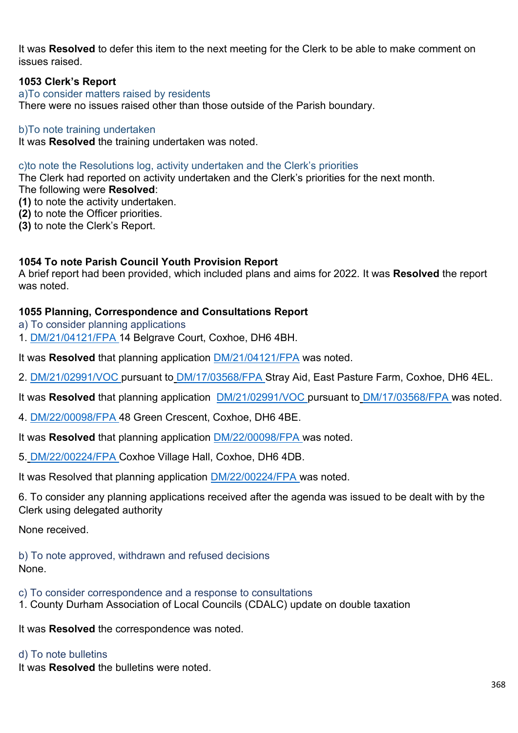It was **Resolved** to defer this item to the next meeting for the Clerk to be able to make comment on issues raised.

## **1053 Clerk's Report**

a)To consider matters raised by residents

There were no issues raised other than those outside of the Parish boundary.

#### b)To note training undertaken

It was **Resolved** the training undertaken was noted.

#### c)to note the Resolutions log, activity undertaken and the Clerk's priorities

The Clerk had reported on activity undertaken and the Clerk's priorities for the next month.

- The following were **Resolved**:
- **(1)** to note the activity undertaken.
- **(2)** to note the Officer priorities.
- **(3)** to note the Clerk's Report.

#### **1054 To note Parish Council Youth Provision Report**

A brief report had been provided, which included plans and aims for 2022. It was **Resolved** the report was noted.

#### **1055 Planning, Correspondence and Consultations Report**

- a) To consider planning applications
- 1. [DM/21/04121/FPA](https://publicaccess.durham.gov.uk/online-applications/applicationDetails.do?activeTab=summary&keyVal=R3SCVCGDJQ600) 14 Belgrave Court, Coxhoe, DH6 4BH.

It was **Resolved** that planning application [DM/21/04121/FPA](https://publicaccess.durham.gov.uk/online-applications/applicationDetails.do?activeTab=summary&keyVal=R3SCVCGDJQ600) was noted.

- 2. [DM/21/02991/VOC](https://publicaccess.durham.gov.uk/online-applications/applicationDetails.do?activeTab=summary&keyVal=QYCAJWGDHWO00) pursuant to [DM/17/03568/FPA](https://publicaccess.durham.gov.uk/online-applications/applicationDetails.do?keyVal=OYOGXQGDI8M00&activeTab=summary) Stray Aid, East Pasture Farm, Coxhoe, DH6 4EL.
- It was **Resolved** that planning application [DM/21/02991/VOC](https://publicaccess.durham.gov.uk/online-applications/applicationDetails.do?activeTab=summary&keyVal=QYCAJWGDHWO00) pursuant to [DM/17/03568/FPA](https://publicaccess.durham.gov.uk/online-applications/applicationDetails.do?keyVal=OYOGXQGDI8M00&activeTab=summary) was noted.
- 4. [DM/22/00098/FPA](https://publicaccess.durham.gov.uk/online-applications/applicationDetails.do?activeTab=summary&keyVal=R5P88DGD0CD00) 48 Green Crescent, Coxhoe, DH6 4BE.
- It was **Resolved** that planning application [DM/22/00098/FPA](https://publicaccess.durham.gov.uk/online-applications/applicationDetails.do?activeTab=summary&keyVal=R5P88DGD0CD00) was noted.
- 5. [DM/22/00224/FPA](https://publicaccess.durham.gov.uk/online-applications/applicationDetails.do?activeTab=summary&keyVal=R6BV2WGD0BK00) Coxhoe Village Hall, Coxhoe, DH6 4DB.

It was Resolved that planning application **DM/22/00224/FPA** was noted.

6. To consider any planning applications received after the agenda was issued to be dealt with by the Clerk using delegated authority

None received.

b) To note approved, withdrawn and refused decisions None.

c) To consider correspondence and a response to consultations

1. County Durham Association of Local Councils (CDALC) update on double taxation

It was **Resolved** the correspondence was noted.

#### d) To note bulletins

It was **Resolved** the bulletins were noted.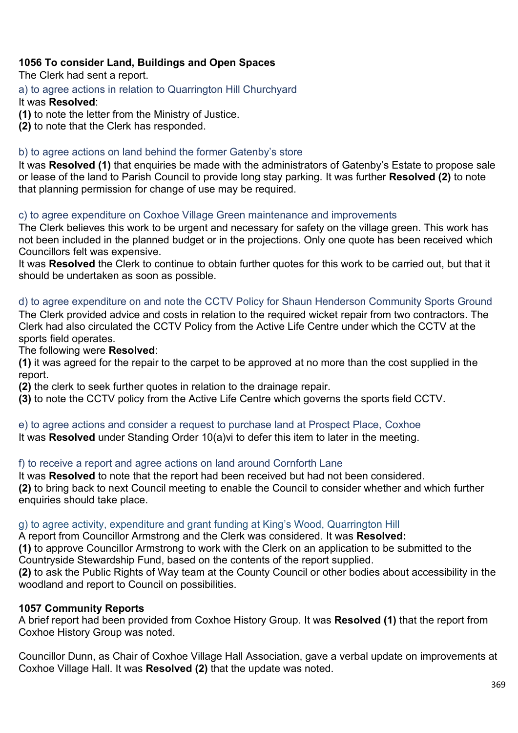## **1056 To consider Land, Buildings and Open Spaces**

The Clerk had sent a report.

a) to agree actions in relation to Quarrington Hill Churchyard

## It was **Resolved**:

**(1)** to note the letter from the Ministry of Justice.

**(2)** to note that the Clerk has responded.

## b) to agree actions on land behind the former Gatenby's store

It was **Resolved (1)** that enquiries be made with the administrators of Gatenby's Estate to propose sale or lease of the land to Parish Council to provide long stay parking. It was further **Resolved (2)** to note that planning permission for change of use may be required.

## c) to agree expenditure on Coxhoe Village Green maintenance and improvements

The Clerk believes this work to be urgent and necessary for safety on the village green. This work has not been included in the planned budget or in the projections. Only one quote has been received which Councillors felt was expensive.

It was **Resolved** the Clerk to continue to obtain further quotes for this work to be carried out, but that it should be undertaken as soon as possible.

## d) to agree expenditure on and note the CCTV Policy for Shaun Henderson Community Sports Ground

The Clerk provided advice and costs in relation to the required wicket repair from two contractors. The Clerk had also circulated the CCTV Policy from the Active Life Centre under which the CCTV at the sports field operates.

The following were **Resolved**:

**(1)** it was agreed for the repair to the carpet to be approved at no more than the cost supplied in the report.

**(2)** the clerk to seek further quotes in relation to the drainage repair.

**(3)** to note the CCTV policy from the Active Life Centre which governs the sports field CCTV.

#### e) to agree actions and consider a request to purchase land at Prospect Place, Coxhoe

It was **Resolved** under Standing Order 10(a)vi to defer this item to later in the meeting.

#### f) to receive a report and agree actions on land around Cornforth Lane

It was **Resolved** to note that the report had been received but had not been considered. **(2)** to bring back to next Council meeting to enable the Council to consider whether and which further enquiries should take place.

#### g) to agree activity, expenditure and grant funding at King's Wood, Quarrington Hill

A report from Councillor Armstrong and the Clerk was considered. It was **Resolved:**

**(1)** to approve Councillor Armstrong to work with the Clerk on an application to be submitted to the Countryside Stewardship Fund, based on the contents of the report supplied.

**(2)** to ask the Public Rights of Way team at the County Council or other bodies about accessibility in the woodland and report to Council on possibilities.

#### **1057 Community Reports**

A brief report had been provided from Coxhoe History Group. It was **Resolved (1)** that the report from Coxhoe History Group was noted.

Councillor Dunn, as Chair of Coxhoe Village Hall Association, gave a verbal update on improvements at Coxhoe Village Hall. It was **Resolved (2)** that the update was noted.